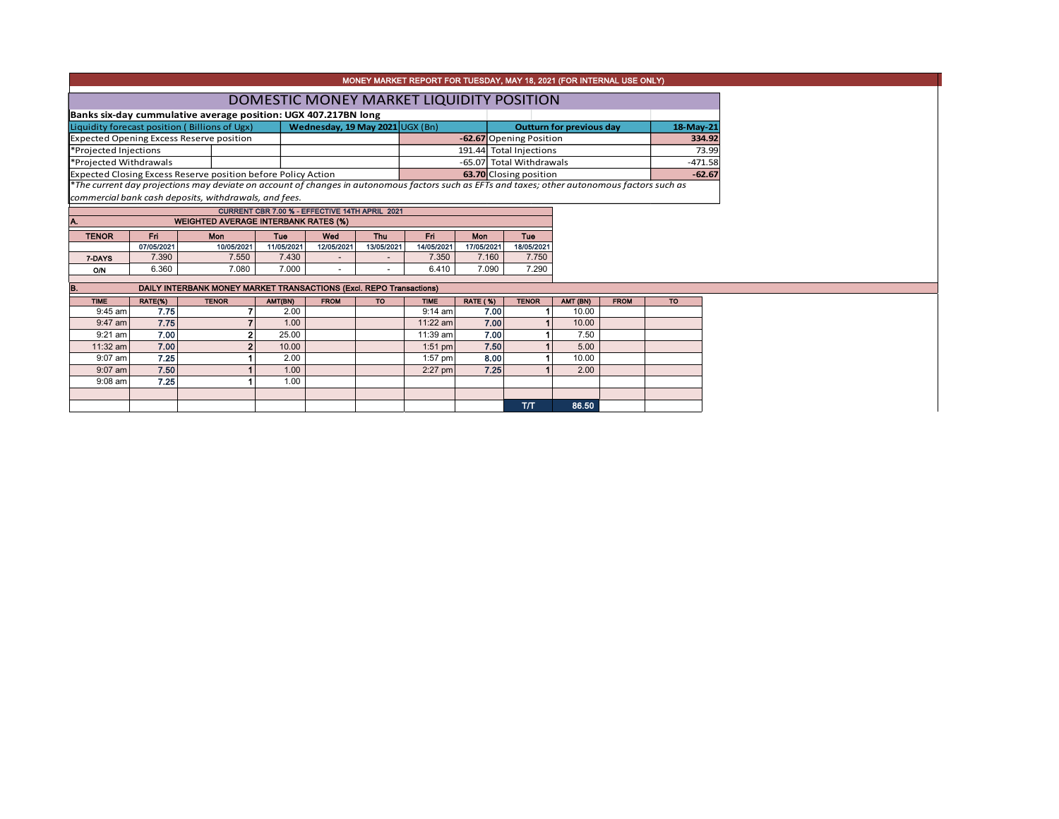|                                                   |            |                                                                                                                                               |            |                                                |            |                         |                 | MONEY MARKET REPORT FOR TUESDAY, MAY 18, 2021 (FOR INTERNAL USE ONLY) |                                 |             |           |           |  |
|---------------------------------------------------|------------|-----------------------------------------------------------------------------------------------------------------------------------------------|------------|------------------------------------------------|------------|-------------------------|-----------------|-----------------------------------------------------------------------|---------------------------------|-------------|-----------|-----------|--|
|                                                   |            |                                                                                                                                               |            |                                                |            |                         |                 | DOMESTIC MONEY MARKET LIQUIDITY POSITION                              |                                 |             |           |           |  |
|                                                   |            | Banks six-day cummulative average position: UGX 407.217BN long                                                                                |            |                                                |            |                         |                 |                                                                       |                                 |             |           |           |  |
|                                                   |            | Liquidity forecast position (Billions of Ugx)                                                                                                 |            | Wednesday, 19 May 2021 UGX (Bn)                |            |                         |                 |                                                                       | <b>Outturn for previous day</b> |             | 18-May-21 |           |  |
| <b>Expected Opening Excess Reserve position</b>   |            |                                                                                                                                               |            |                                                |            |                         |                 | -62.67 Opening Position                                               |                                 |             |           | 334.92    |  |
| *Projected Injections                             |            |                                                                                                                                               |            |                                                |            | 191.44 Total Injections |                 |                                                                       |                                 |             |           | 73.99     |  |
| *Projected Withdrawals                            |            |                                                                                                                                               |            |                                                |            |                         |                 | -65.07 Total Withdrawals                                              |                                 |             |           | $-471.58$ |  |
|                                                   |            | Expected Closing Excess Reserve position before Policy Action                                                                                 |            |                                                |            |                         |                 | 63.70 Closing position                                                |                                 |             |           | $-62.67$  |  |
|                                                   |            | *The current day projections may deviate on account of changes in autonomous factors such as EFTs and taxes; other autonomous factors such as |            |                                                |            |                         |                 |                                                                       |                                 |             |           |           |  |
|                                                   |            | commercial bank cash deposits, withdrawals, and fees.                                                                                         |            |                                                |            |                         |                 |                                                                       |                                 |             |           |           |  |
|                                                   |            |                                                                                                                                               |            | CURRENT CBR 7.00 % - EFFECTIVE 14TH APRIL 2021 |            |                         |                 |                                                                       |                                 |             |           |           |  |
| A.<br><b>WEIGHTED AVERAGE INTERBANK RATES (%)</b> |            |                                                                                                                                               |            |                                                |            |                         |                 |                                                                       |                                 |             |           |           |  |
| <b>TENOR</b>                                      | <b>Fri</b> | Mon                                                                                                                                           | Tue        | Wed                                            | <b>Thu</b> | Fri                     | <b>Mon</b>      | Tue                                                                   |                                 |             |           |           |  |
|                                                   | 07/05/2021 | 10/05/2021                                                                                                                                    | 11/05/2021 | 12/05/2021                                     | 13/05/2021 | 14/05/2021              | 17/05/2021      | 18/05/2021                                                            |                                 |             |           |           |  |
| 7-DAYS                                            | 7.390      | 7.550                                                                                                                                         | 7.430      |                                                |            | 7.350                   | 7.160           | 7.750                                                                 |                                 |             |           |           |  |
| O/N                                               | 6.360      | 7.080                                                                                                                                         | 7.000      | ٠                                              |            | 6.410                   | 7.090           | 7.290                                                                 |                                 |             |           |           |  |
| B.                                                |            | DAILY INTERBANK MONEY MARKET TRANSACTIONS (Excl. REPO Transactions)                                                                           |            |                                                |            |                         |                 |                                                                       |                                 |             |           |           |  |
| <b>TIME</b>                                       | RATE(%)    | <b>TENOR</b>                                                                                                                                  | AMT(BN)    | <b>FROM</b>                                    | <b>TO</b>  | <b>TIME</b>             | <b>RATE (%)</b> | <b>TENOR</b>                                                          | AMT (BN)                        | <b>FROM</b> | <b>TO</b> |           |  |
| $9:45$ am                                         | 7.75       | 7                                                                                                                                             | 2.00       |                                                |            | $9:14$ am               | 7.00            |                                                                       | 10.00                           |             |           |           |  |
| $9:47$ am                                         | 7.75       |                                                                                                                                               | 1.00       |                                                |            | 11:22 am                | 7.00            |                                                                       | 10.00                           |             |           |           |  |
| $9:21$ am                                         | 7.00       | 2                                                                                                                                             | 25.00      |                                                |            | $11:39$ am              | 7.00            |                                                                       | 7.50                            |             |           |           |  |
| 11:32 am                                          | 7.00       | $\overline{2}$                                                                                                                                | 10.00      |                                                |            | $1:51$ pm               | 7.50            |                                                                       | 5.00                            |             |           |           |  |
| $9:07$ am                                         | 7.25       |                                                                                                                                               | 2.00       |                                                |            | $1:57$ pm               | 8.00            |                                                                       | 10.00                           |             |           |           |  |
| $9:07$ am                                         | 7.50       |                                                                                                                                               | 1.00       |                                                |            | $2:27$ pm               | 7.25            |                                                                       | 2.00                            |             |           |           |  |
| $9:08$ am                                         | 7.25       |                                                                                                                                               | 1.00       |                                                |            |                         |                 |                                                                       |                                 |             |           |           |  |
|                                                   |            |                                                                                                                                               |            |                                                |            |                         |                 |                                                                       |                                 |             |           |           |  |
|                                                   |            |                                                                                                                                               |            |                                                |            |                         |                 | T/T                                                                   | 86.50                           |             |           |           |  |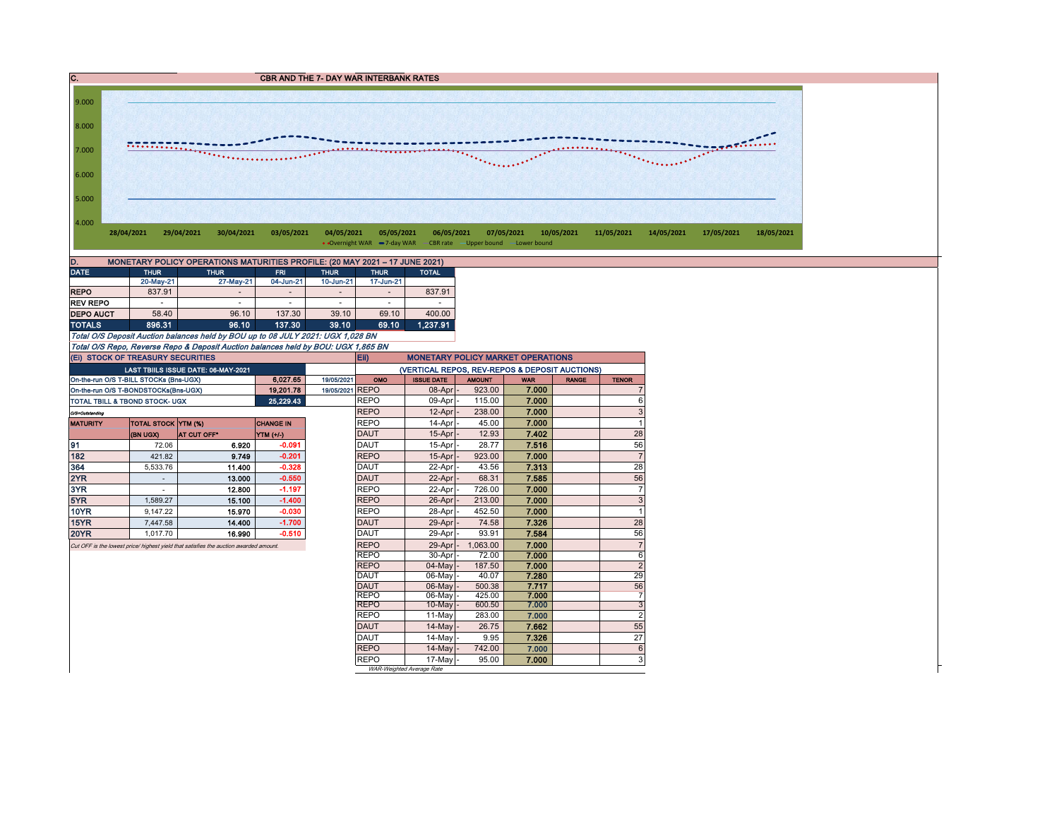CBR AND THE 7- DAY WAR INTERBANK RATES



| D.<br>MONETARY POLICY OPERATIONS MATURITIES PROFILE: (20 MAY 2021 - 17 JUNE 2021) |             |             |                |                          |             |              |  |  |  |  |  |  |  |
|-----------------------------------------------------------------------------------|-------------|-------------|----------------|--------------------------|-------------|--------------|--|--|--|--|--|--|--|
| <b>DATE</b>                                                                       | <b>THUR</b> | <b>THUR</b> | <b>FRI</b>     | <b>THUR</b>              | <b>THUR</b> | <b>TOTAL</b> |  |  |  |  |  |  |  |
|                                                                                   | 20-May-21   | 27-May-21   | 04-Jun-21      | 10-Jun-21                | 17-Jun-21   |              |  |  |  |  |  |  |  |
| <b>REPO</b>                                                                       | 837.91      |             | $\overline{a}$ | $\overline{\phantom{a}}$ |             | 837.91       |  |  |  |  |  |  |  |
| <b>REV REPO</b>                                                                   | ۰           | -           | $\overline{a}$ | $\overline{\phantom{a}}$ | ۰           |              |  |  |  |  |  |  |  |
| <b>DEPO AUCT</b>                                                                  | 58.40       | 96.10       | 137.30         | 39.10                    | 69.10       | 400.00       |  |  |  |  |  |  |  |
| <b>TOTALS</b>                                                                     | 896.31      | 96.10       | 137.30         | 39.10                    | 69.10       | 1.237.91     |  |  |  |  |  |  |  |

Total O/S Deposit Auction balances held by BOU up to 08 JULY 2021: UGX 1,028 BN Total O/S Repo, Reverse Repo & Deposit Auction balances held by BOU: UGX 1,865 BN

|                                                                                       | (EI) STOCK OF TREASURY SECURITIES      |                                           |             | Eii)<br><b>MONETARY POLICY MARKET OPERATIONS</b> |             |                                                |                |            |              |                |  |  |
|---------------------------------------------------------------------------------------|----------------------------------------|-------------------------------------------|-------------|--------------------------------------------------|-------------|------------------------------------------------|----------------|------------|--------------|----------------|--|--|
|                                                                                       |                                        | <b>LAST TBILS ISSUE DATE: 06-MAY-2021</b> |             |                                                  |             | (VERTICAL REPOS, REV-REPOS & DEPOSIT AUCTIONS) |                |            |              |                |  |  |
|                                                                                       | On-the-run O/S T-BILL STOCKs (Bns-UGX) |                                           | 6.027.65    | 19/05/2021                                       | OMO         | <b>ISSUE DATE</b>                              | <b>AMOUNT</b>  | <b>WAR</b> | <b>RANGE</b> | <b>TENOR</b>   |  |  |
|                                                                                       | On-the-run O/S T-BONDSTOCKs(Bns-UGX)   |                                           | 19.201.78   | 19/05/2021 REPO                                  |             | 08-Apr                                         | 923.00         | 7.000      |              | 7              |  |  |
|                                                                                       | TOTAL TBILL & TBOND STOCK- UGX         |                                           | 25, 229, 43 |                                                  | <b>REPO</b> | 09-Apr                                         | 115.00         | 7.000      |              | 6              |  |  |
| O/S=Outstanding                                                                       |                                        | <b>REPO</b>                               | 12-Apr      | 238.00                                           | 7.000       |                                                | 3              |            |              |                |  |  |
| <b>MATURITY</b>                                                                       | <b>TOTAL STOCK YTM (%)</b>             |                                           |             |                                                  | <b>REPO</b> | 14-Apr                                         | 45.00          | 7.000      |              | 1              |  |  |
|                                                                                       | (BN UGX)                               | <b>AT CUT OFF*</b>                        | YTM (+/-)   |                                                  | <b>DAUT</b> | 15-Apr                                         | 12.93          | 7.402      |              | 28             |  |  |
| 91                                                                                    | 72.06                                  | 6.920                                     | $-0.091$    |                                                  | <b>DAUT</b> | 15-Apr                                         | 28.77          | 7.516      |              | 56             |  |  |
| 182                                                                                   | 421.82                                 | 9.749                                     | $-0.201$    |                                                  | <b>REPO</b> | 15-Apr                                         | 923.00         | 7.000      |              | $\overline{7}$ |  |  |
| 364                                                                                   | 5,533.76                               | 11.400                                    | $-0.328$    |                                                  | <b>DAUT</b> | 22-Apr                                         | 43.56          | 7.313      |              | 28             |  |  |
| 2YR                                                                                   |                                        | 13.000                                    | $-0.550$    |                                                  | <b>DAUT</b> | 22-Apr                                         | 68.31          | 7.585      |              | 56             |  |  |
| 3YR                                                                                   |                                        | 12.800                                    | $-1.197$    |                                                  | <b>REPO</b> | 22-Apr                                         | 726.00         | 7.000      |              | 7              |  |  |
| 5YR                                                                                   | 1.589.27                               | 15.100                                    | $-1.400$    |                                                  | <b>REPO</b> | 26-Apr                                         | 213.00         | 7.000      |              | 3              |  |  |
| <b>10YR</b>                                                                           | 9,147.22                               | 15.970                                    | $-0.030$    |                                                  | <b>REPO</b> | 28-Apr                                         | 452.50         | 7.000      |              | 1              |  |  |
| 15YR                                                                                  | 7.447.58                               | 14.400                                    | $-1.700$    |                                                  | <b>DAUT</b> | 29-Apr                                         | 74.58          | 7.326      |              | 28             |  |  |
| <b>20YR</b>                                                                           | 1.017.70                               | 16.990                                    | $-0.510$    |                                                  | <b>DAUT</b> | 29-Apr                                         | 93.91          | 7.584      |              | 56             |  |  |
| Cut OFF is the lowest price/ highest yield that satisfies the auction awarded amount. |                                        | <b>REPO</b>                               | 29-Apr      | 1.063.00                                         | 7.000       |                                                | $\overline{7}$ |            |              |                |  |  |
|                                                                                       |                                        |                                           |             |                                                  | <b>REPO</b> | 30-Apr                                         | 72.00          | 7.000      |              | 6              |  |  |
|                                                                                       |                                        |                                           |             |                                                  | <b>REPO</b> | 04-May                                         | 187.50         | 7.000      |              | $\overline{2}$ |  |  |
|                                                                                       |                                        |                                           |             |                                                  | <b>DAUT</b> | 06-May                                         | 40.07          | 7.280      |              | 29             |  |  |
|                                                                                       |                                        |                                           |             |                                                  | <b>DAUT</b> | 06-May                                         | 500.38         | 7.717      |              | 56             |  |  |
|                                                                                       |                                        |                                           |             |                                                  | <b>REPO</b> | 06-May                                         | 425.00         | 7.000      |              | 7              |  |  |
|                                                                                       |                                        |                                           |             |                                                  | <b>REPO</b> | $10-Mav$                                       | 600.50         | 7.000      |              | 3              |  |  |
|                                                                                       |                                        |                                           |             |                                                  | <b>REPO</b> | 11-May                                         | 283.00         | 7.000      |              | $\overline{c}$ |  |  |
|                                                                                       |                                        |                                           |             |                                                  | <b>DAUT</b> | 14-May                                         | 26.75          | 7.662      |              | 55             |  |  |
|                                                                                       |                                        |                                           |             |                                                  | DAUT        | 14-May                                         | 9.95           | 7.326      |              | 27             |  |  |
|                                                                                       |                                        |                                           |             |                                                  | <b>REPO</b> | 14-May                                         | 742.00         | 7.000      |              | 6              |  |  |
|                                                                                       |                                        |                                           |             |                                                  | <b>REPO</b> | 17-May                                         | 95.00          | 7.000      |              | 3              |  |  |
|                                                                                       |                                        |                                           |             |                                                  |             | WAR-Weighted Average Rate                      |                |            |              |                |  |  |